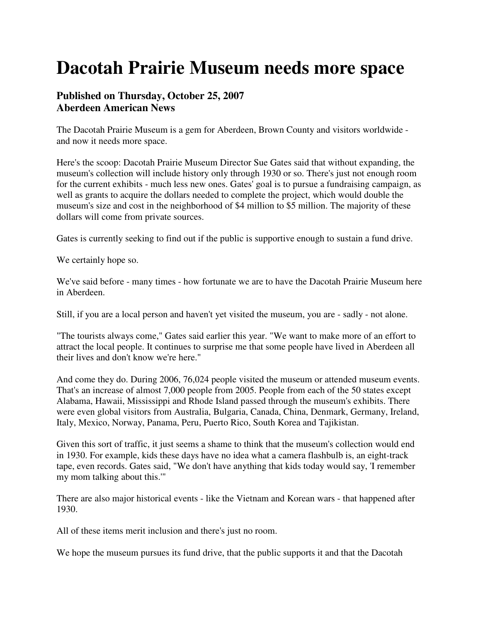## **Dacotah Prairie Museum needs more space**

## **Published on Thursday, October 25, 2007 Aberdeen American News**

The Dacotah Prairie Museum is a gem for Aberdeen, Brown County and visitors worldwide and now it needs more space.

Here's the scoop: Dacotah Prairie Museum Director Sue Gates said that without expanding, the museum's collection will include history only through 1930 or so. There's just not enough room for the current exhibits - much less new ones. Gates' goal is to pursue a fundraising campaign, as well as grants to acquire the dollars needed to complete the project, which would double the museum's size and cost in the neighborhood of \$4 million to \$5 million. The majority of these dollars will come from private sources.

Gates is currently seeking to find out if the public is supportive enough to sustain a fund drive.

We certainly hope so.

We've said before - many times - how fortunate we are to have the Dacotah Prairie Museum here in Aberdeen.

Still, if you are a local person and haven't yet visited the museum, you are - sadly - not alone.

"The tourists always come," Gates said earlier this year. "We want to make more of an effort to attract the local people. It continues to surprise me that some people have lived in Aberdeen all their lives and don't know we're here."

And come they do. During 2006, 76,024 people visited the museum or attended museum events. That's an increase of almost 7,000 people from 2005. People from each of the 50 states except Alabama, Hawaii, Mississippi and Rhode Island passed through the museum's exhibits. There were even global visitors from Australia, Bulgaria, Canada, China, Denmark, Germany, Ireland, Italy, Mexico, Norway, Panama, Peru, Puerto Rico, South Korea and Tajikistan.

Given this sort of traffic, it just seems a shame to think that the museum's collection would end in 1930. For example, kids these days have no idea what a camera flashbulb is, an eight-track tape, even records. Gates said, "We don't have anything that kids today would say, 'I remember my mom talking about this.'"

There are also major historical events - like the Vietnam and Korean wars - that happened after 1930.

All of these items merit inclusion and there's just no room.

We hope the museum pursues its fund drive, that the public supports it and that the Dacotah